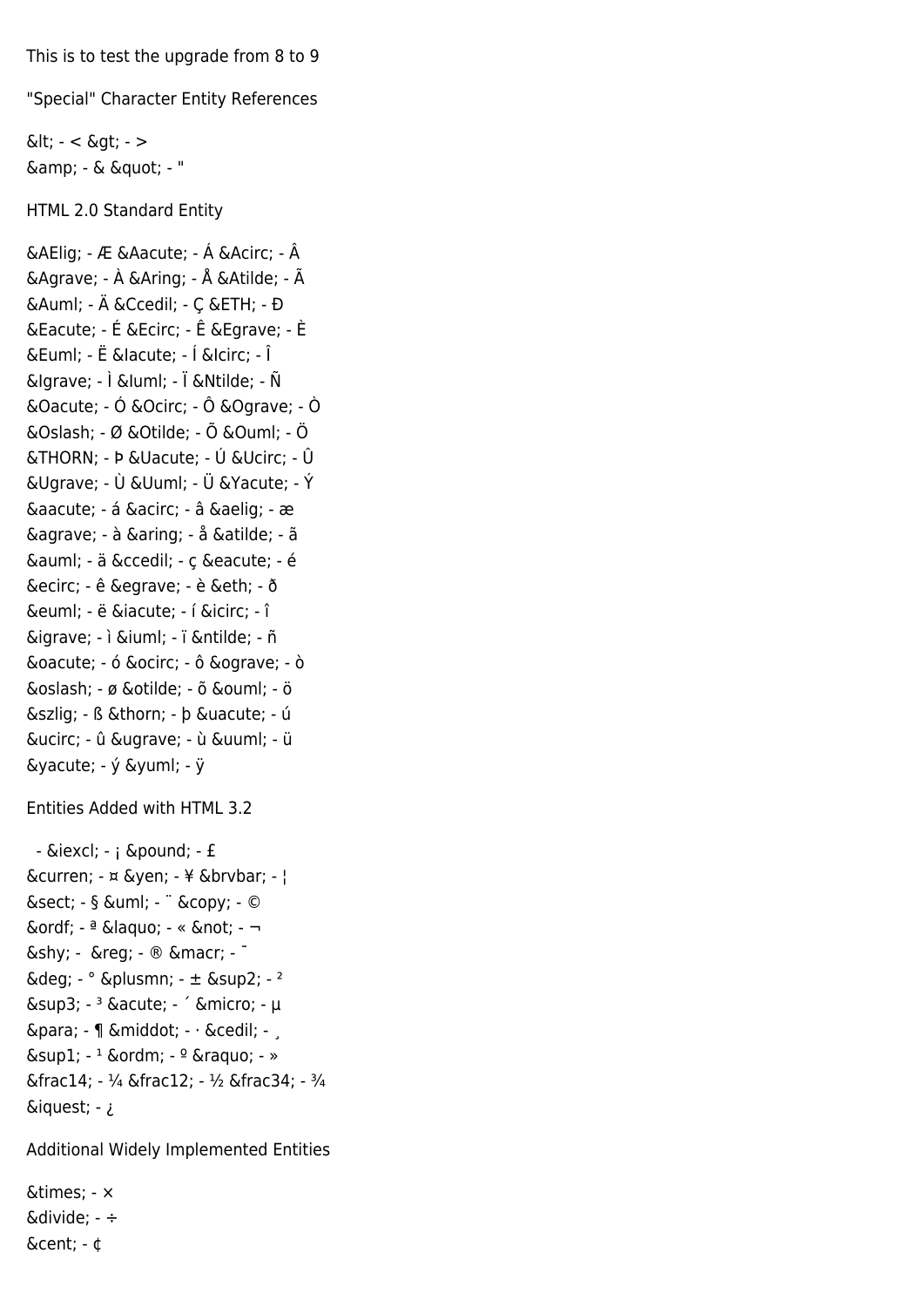This is to test the upgrade from 8 to 9

"Special" Character Entity References

 $\< - < \> -$ & amp; - & & quot; - "

HTML 2.0 Standard Entity

Æ - Æ Á - Á Â - Â À - À Å - Å Ã - Ã Ä - Ä Ç - C Ð - Đ É - É Ê - Ê È - È Ë - Ë ĺ - Í &lcirc; - Î &lgrave; - Ì &luml; - Ï Ñ - Ñ  $\&$ Oacute; - Ó  $\&$ Ocirc; - Ô  $\&$ Ograve; - Ò Ø - Ø Õ - Õ Ö - Ö Þ - Þ & Uacute; - Ú & Ucirc; - Û & Ugrave; - Ù & Uuml; - Ü & Yacute; - Ý á - á â - â æ - æ à - à å - å ã - ã ä - ä ç - ç é - é ê - ê è - è ð - ð ë - ë í - í î - î ì - ì ï - ï ñ - ñ ó - ó ô - ô ò - ò ø - ø õ - õ ö - ö ß - ß þ - þ ú - ú û - û ù - ù ü - ü  $\delta$ yacute; - ý  $\delta$ yuml; - ÿ

Entities Added with HTML 3.2

 $-$  ¡  $-$  ; £  $-$  £ & curren; - ¤ & yen; - ¥ & br vbar; - ¦  $\&$ sect; - §  $\&$ uml; -  $\ddot{\,}$  © -  $\odot$ ª - ª « - « ¬ - ¬ ­ - ® - ® ¯ - - $\delta$ deg; -  $\circ$   $\delta$ plusmn; -  $\pm$   $\delta$ sup2; -  $\delta$  $\&$ sup3; -  $3 \&$ acute; -  $\int$   $\&$ micro; -  $\mu$ ¶ - ¶ · - · ¸ - .  $\&$ sup1; -  $1 \&$ ordm; -  $9 \&$ raquo; - »  $&$  frac14: - 1/4  $&$  frac12: - 1/2  $&$  frac34: - 3/4 ¿ - ¿

Additional Widely Implemented Entities

× - × ÷ - ÷ ¢ - ¢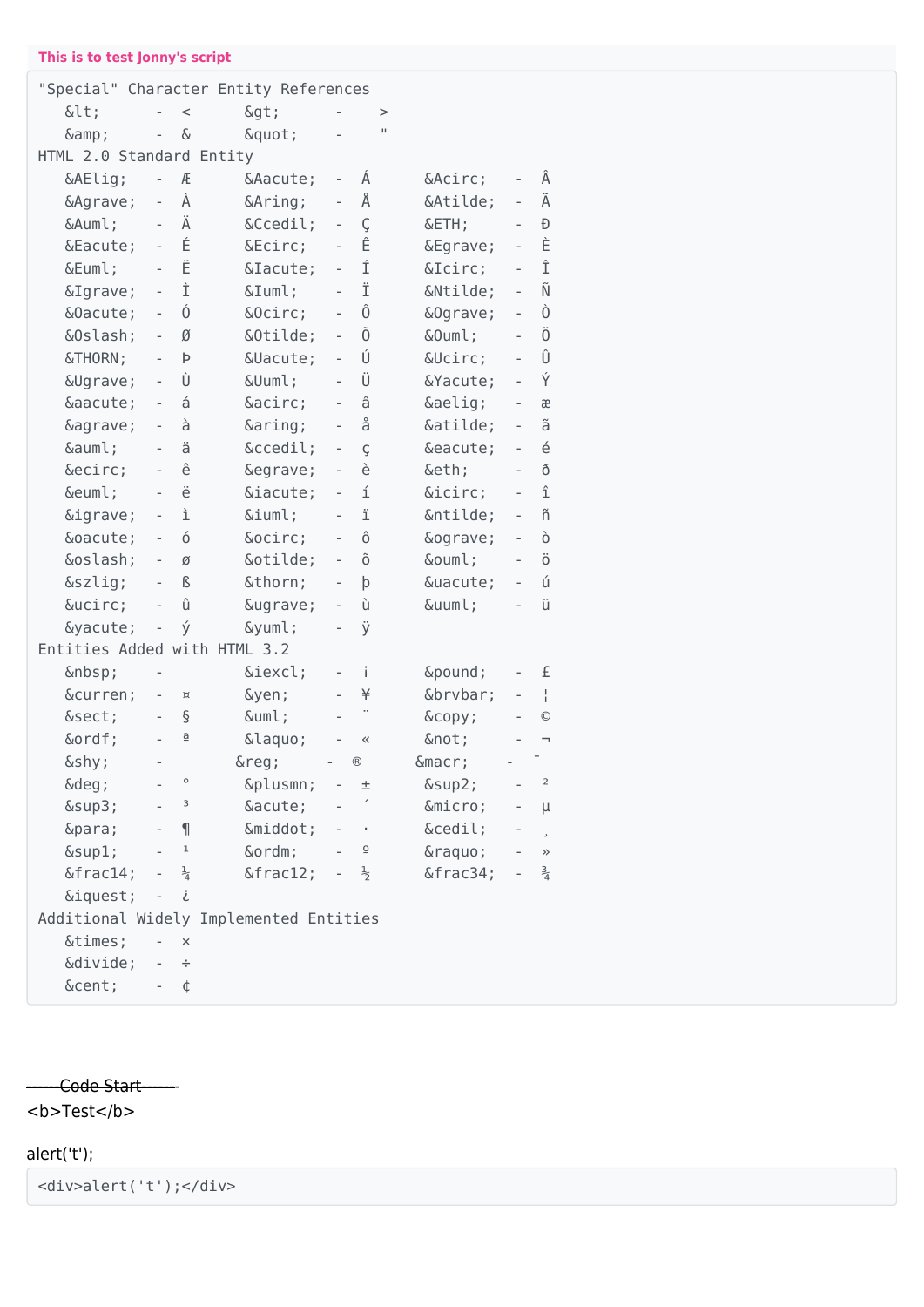### **This is to test Jonny's script**

| "Special" Character Entity References  |                          |                         |              |                          |                 |                |                          |                    |
|----------------------------------------|--------------------------|-------------------------|--------------|--------------------------|-----------------|----------------|--------------------------|--------------------|
| <                                      | $\overline{a}$           | $\,<$                   | $\delta$ gt; |                          | >               |                |                          |                    |
| &                                      | $\overline{\phantom{0}}$ | &                       | "            |                          | п               |                |                          |                    |
| HTML 2.0 Standard Entity               |                          |                         |              |                          |                 |                |                          |                    |
| Æ                                      | $\overline{\phantom{0}}$ | Æ                       | Á            | $\overline{\phantom{0}}$ | Á               | Â              | $\overline{\phantom{a}}$ | Â                  |
| À                                      | $\overline{\phantom{a}}$ | À                       | Å            | $\overline{a}$           | Å               | Ã              | $\overline{\phantom{0}}$ | Ã                  |
| Ä                                      | $\frac{1}{2}$            | Ä                       | Ç            | $\overline{\phantom{0}}$ | Ç               | Ð              | $\overline{a}$           | Ð                  |
| É                                      | $\overline{\phantom{a}}$ | É                       | Ê            | $\overline{\phantom{0}}$ | Ê               | È              | $\overline{\phantom{a}}$ | È                  |
| Ë                                      | $\overline{\phantom{a}}$ | Ë                       | Í            | $\overline{\phantom{0}}$ | Í               | Î              | $\overline{a}$           | Î                  |
| Ì                                      | $\blacksquare$           | Ì                       | Ï            | $\bar{ }$                | Ϊ               | Ñ              | $\overline{\phantom{a}}$ | Ñ                  |
| Ó                                      | $\blacksquare$           | Ó                       | Ô            |                          | Ô               | Ò              | $\frac{1}{2}$            | Ò                  |
| Ø                                      | $\frac{1}{2}$            | Ø                       | Õ            | $\overline{a}$           | Õ               | Ö              | $\frac{1}{2}$            | Ö                  |
| Þ                                      |                          | Þ                       | Ú            | $\overline{\phantom{0}}$ | Ú               | Û              | $\overline{\phantom{a}}$ | Û                  |
| Ù                                      | $\overline{\phantom{a}}$ | Ù                       | Ü            | $\overline{\phantom{0}}$ | Ü               | Ý              | $\overline{\phantom{a}}$ | Ý                  |
| á                                      | $\overline{\phantom{a}}$ | á                       | â            | $\overline{\phantom{0}}$ | â               | æ              | $\overline{\phantom{a}}$ | æ                  |
| à                                      | $\frac{1}{2}$            | à                       | å            | $\frac{1}{2}$            | å               | ã              | $\overline{\phantom{a}}$ | ã                  |
| ä                                      | $\overline{\phantom{a}}$ | ä                       | ç            | $\overline{\phantom{0}}$ | Ç               | é              | $\frac{1}{2}$            | $\acute{\text e}$  |
| ê                                      | $\overline{a}$           | ê                       | è            | $\overline{a}$           | è               | ð              | $\overline{a}$           | ð                  |
| ë                                      | $\overline{\phantom{a}}$ | ë                       | í            | $\overline{\phantom{0}}$ | í               | î              | $\overline{\phantom{a}}$ | $\hat{\mathbb{1}}$ |
| ì                                      | $\overline{\phantom{m}}$ | ì                       | ï            | $\overline{\phantom{a}}$ | ï               | ñ              | $\overline{\phantom{0}}$ | ñ                  |
| ó                                      | $\overline{\phantom{a}}$ | ó                       | ô            | $\overline{\phantom{0}}$ | ô               | ò              | $\overline{\phantom{a}}$ | ò                  |
| ø                                      | $\overline{\phantom{a}}$ | Ø                       | õ            | $\frac{1}{2}$            | õ               | ö              | $\overline{\phantom{a}}$ | ö                  |
| ß                                      | $\overline{\phantom{0}}$ | $\mathsf B$             | þ            | $\overline{\phantom{0}}$ | þ               | ú              | $\overline{\phantom{a}}$ | ú                  |
| û                                      | $\overline{a}$           | û                       | ù            | $\overline{\phantom{0}}$ | ù               | ü              | $\frac{1}{2}$            | ü                  |
| ý                                      | $\overline{\phantom{m}}$ | ý                       | ÿ            | $\overline{\phantom{0}}$ | ÿ               |                |                          |                    |
| Entities Added with HTML 3.2           |                          |                         |              |                          |                 |                |                          |                    |
|                                        |                          |                         | ¡            | $\overline{\phantom{0}}$ | i.              | £              | $\overline{\phantom{0}}$ | £                  |
| ¤                                      | $\qquad \qquad -$        | $\bowtie$               | ¥            |                          | ¥               | ¦              | $\overline{\phantom{0}}$ | $\frac{1}{1}$      |
| §                                      | $\overline{\phantom{a}}$ | $\S$                    | ¨            |                          |                 | ©              | $\qquad \qquad -$        | $\circledcirc$     |
| ª                                      | $\overline{a}$           | $\overline{\mathsf{d}}$ | «            |                          | $\ll$           | ¬              | $\overline{\phantom{0}}$ | F                  |
| ­                                      | $\overline{\phantom{0}}$ |                         | $\&$ reg;    |                          | $^{\circledR}$  | $\&$ macr;     | $\overline{\phantom{0}}$ |                    |
| $\&$ deg;                              |                          | $\circ$                 | ±            | $\overline{\phantom{0}}$ | 土               | $\&$ sup $2$ ; |                          | $\overline{2}$     |
| $\&$ sup $3$ ;                         |                          | 3                       | ´            |                          |                 | µ              |                          | μ                  |
| ¶                                      |                          | $\mathbf{I}$            | ·            |                          |                 | ¸              |                          | J.                 |
| $\&$ sup $1$ ;                         |                          | $\mathbf 1$             | º            |                          | $\underline{0}$ | »              | $\overline{\phantom{a}}$ | $\gg$              |
| &frac1                                 |                          | $\frac{1}{4}$           | ½            |                          | $\frac{1}{2}$   | ¾              |                          | $\frac{3}{4}$      |
| ¿                                      | $\overline{\phantom{a}}$ | i                       |              |                          |                 |                |                          |                    |
| Additional Widely Implemented Entities |                          |                         |              |                          |                 |                |                          |                    |
| ×                                      |                          | $\times$                |              |                          |                 |                |                          |                    |
| ÷                                      | $\overline{\phantom{m}}$ | ÷                       |              |                          |                 |                |                          |                    |
| ¢                                      |                          | ¢                       |              |                          |                 |                |                          |                    |

## ------Code Start-------

<b>Test</b>

### alert('t');

<div>alert('t');</div>